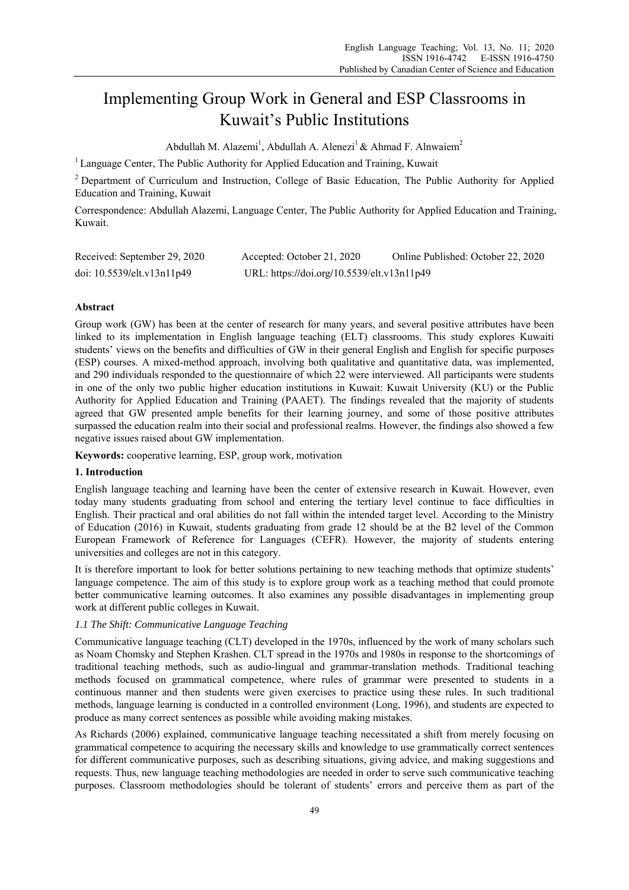# Implementing Group Work in General and ESP Classrooms in Kuwait's Public Institutions

Abdullah M. Alazemi<sup>1</sup>, Abdullah A. Alenezi<sup>1</sup> & Ahmad F. Alnwaiem<sup>2</sup>

<sup>1</sup> Language Center, The Public Authority for Applied Education and Training, Kuwait

<sup>2</sup> Department of Curriculum and Instruction, College of Basic Education, The Public Authority for Applied Education and Training, Kuwait

Correspondence: Abdullah Alazemi, Language Center, The Public Authority for Applied Education and Training, Kuwait.

| Received: September 29, 2020 | Accepted: October 21, 2020                 | Online Published: October 22, 2020 |
|------------------------------|--------------------------------------------|------------------------------------|
| doi: 10.5539/elt.v13n11p49   | URL: https://doi.org/10.5539/elt.v13n11p49 |                                    |

## **Abstract**

Group work (GW) has been at the center of research for many years, and several positive attributes have been linked to its implementation in English language teaching (ELT) classrooms. This study explores Kuwaiti students' views on the benefits and difficulties of GW in their general English and English for specific purposes (ESP) courses. A mixed-method approach, involving both qualitative and quantitative data, was implemented, and 290 individuals responded to the questionnaire of which 22 were interviewed. All participants were students in one of the only two public higher education institutions in Kuwait: Kuwait University (KU) or the Public Authority for Applied Education and Training (PAAET). The findings revealed that the majority of students agreed that GW presented ample benefits for their learning journey, and some of those positive attributes surpassed the education realm into their social and professional realms. However, the findings also showed a few negative issues raised about GW implementation.

**Keywords:** cooperative learning, ESP, group work, motivation

## **1. Introduction**

English language teaching and learning have been the center of extensive research in Kuwait. However, even today many students graduating from school and entering the tertiary level continue to face difficulties in English. Their practical and oral abilities do not fall within the intended target level. According to the Ministry of Education (2016) in Kuwait, students graduating from grade 12 should be at the B2 level of the Common European Framework of Reference for Languages (CEFR). However, the majority of students entering universities and colleges are not in this category.

It is therefore important to look for better solutions pertaining to new teaching methods that optimize students' language competence. The aim of this study is to explore group work as a teaching method that could promote better communicative learning outcomes. It also examines any possible disadvantages in implementing group work at different public colleges in Kuwait.

# *1.1 The Shift: Communicative Language Teaching*

Communicative language teaching (CLT) developed in the 1970s, influenced by the work of many scholars such as Noam Chomsky and Stephen Krashen. CLT spread in the 1970s and 1980s in response to the shortcomings of traditional teaching methods, such as audio-lingual and grammar-translation methods. Traditional teaching methods focused on grammatical competence, where rules of grammar were presented to students in a continuous manner and then students were given exercises to practice using these rules. In such traditional methods, language learning is conducted in a controlled environment (Long, 1996), and students are expected to produce as many correct sentences as possible while avoiding making mistakes.

As Richards (2006) explained, communicative language teaching necessitated a shift from merely focusing on grammatical competence to acquiring the necessary skills and knowledge to use grammatically correct sentences for different communicative purposes, such as describing situations, giving advice, and making suggestions and requests. Thus, new language teaching methodologies are needed in order to serve such communicative teaching purposes. Classroom methodologies should be tolerant of students' errors and perceive them as part of the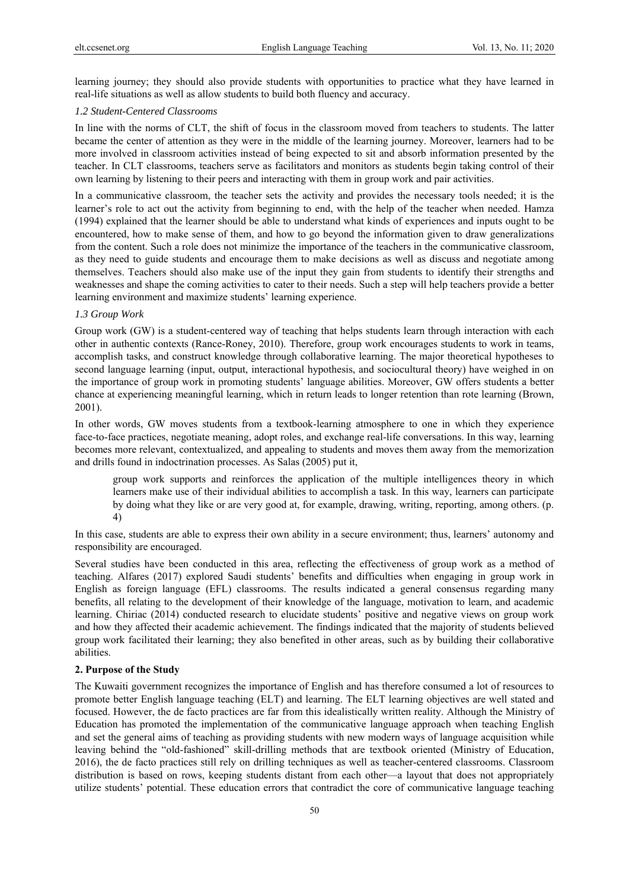learning journey; they should also provide students with opportunities to practice what they have learned in real-life situations as well as allow students to build both fluency and accuracy.

#### *1.2 Student-Centered Classrooms*

In line with the norms of CLT, the shift of focus in the classroom moved from teachers to students. The latter became the center of attention as they were in the middle of the learning journey. Moreover, learners had to be more involved in classroom activities instead of being expected to sit and absorb information presented by the teacher. In CLT classrooms, teachers serve as facilitators and monitors as students begin taking control of their own learning by listening to their peers and interacting with them in group work and pair activities.

In a communicative classroom, the teacher sets the activity and provides the necessary tools needed; it is the learner's role to act out the activity from beginning to end, with the help of the teacher when needed. Hamza (1994) explained that the learner should be able to understand what kinds of experiences and inputs ought to be encountered, how to make sense of them, and how to go beyond the information given to draw generalizations from the content. Such a role does not minimize the importance of the teachers in the communicative classroom, as they need to guide students and encourage them to make decisions as well as discuss and negotiate among themselves. Teachers should also make use of the input they gain from students to identify their strengths and weaknesses and shape the coming activities to cater to their needs. Such a step will help teachers provide a better learning environment and maximize students' learning experience.

#### *1.3 Group Work*

Group work (GW) is a student-centered way of teaching that helps students learn through interaction with each other in authentic contexts (Rance-Roney, 2010). Therefore, group work encourages students to work in teams, accomplish tasks, and construct knowledge through collaborative learning. The major theoretical hypotheses to second language learning (input, output, interactional hypothesis, and sociocultural theory) have weighed in on the importance of group work in promoting students' language abilities. Moreover, GW offers students a better chance at experiencing meaningful learning, which in return leads to longer retention than rote learning (Brown, 2001).

In other words, GW moves students from a textbook-learning atmosphere to one in which they experience face-to-face practices, negotiate meaning, adopt roles, and exchange real-life conversations. In this way, learning becomes more relevant, contextualized, and appealing to students and moves them away from the memorization and drills found in indoctrination processes. As Salas (2005) put it,

group work supports and reinforces the application of the multiple intelligences theory in which learners make use of their individual abilities to accomplish a task. In this way, learners can participate by doing what they like or are very good at, for example, drawing, writing, reporting, among others. (p. 4)

In this case, students are able to express their own ability in a secure environment; thus, learners' autonomy and responsibility are encouraged.

Several studies have been conducted in this area, reflecting the effectiveness of group work as a method of teaching. Alfares (2017) explored Saudi students' benefits and difficulties when engaging in group work in English as foreign language (EFL) classrooms. The results indicated a general consensus regarding many benefits, all relating to the development of their knowledge of the language, motivation to learn, and academic learning. Chiriac (2014) conducted research to elucidate students' positive and negative views on group work and how they affected their academic achievement. The findings indicated that the majority of students believed group work facilitated their learning; they also benefited in other areas, such as by building their collaborative abilities.

#### **2. Purpose of the Study**

The Kuwaiti government recognizes the importance of English and has therefore consumed a lot of resources to promote better English language teaching (ELT) and learning. The ELT learning objectives are well stated and focused. However, the de facto practices are far from this idealistically written reality. Although the Ministry of Education has promoted the implementation of the communicative language approach when teaching English and set the general aims of teaching as providing students with new modern ways of language acquisition while leaving behind the "old-fashioned" skill-drilling methods that are textbook oriented (Ministry of Education, 2016), the de facto practices still rely on drilling techniques as well as teacher-centered classrooms. Classroom distribution is based on rows, keeping students distant from each other—a layout that does not appropriately utilize students' potential. These education errors that contradict the core of communicative language teaching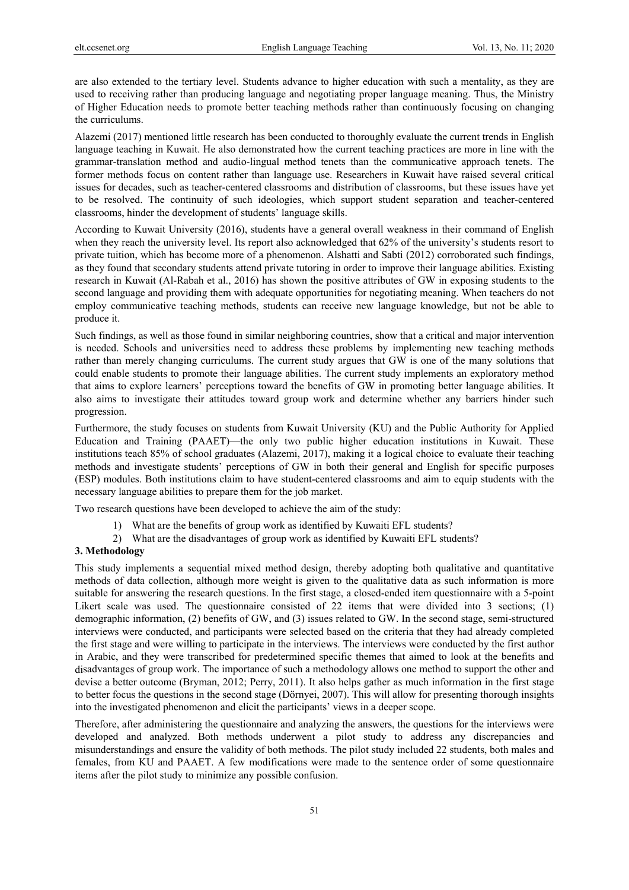are also extended to the tertiary level. Students advance to higher education with such a mentality, as they are used to receiving rather than producing language and negotiating proper language meaning. Thus, the Ministry of Higher Education needs to promote better teaching methods rather than continuously focusing on changing the curriculums.

Alazemi (2017) mentioned little research has been conducted to thoroughly evaluate the current trends in English language teaching in Kuwait. He also demonstrated how the current teaching practices are more in line with the grammar-translation method and audio-lingual method tenets than the communicative approach tenets. The former methods focus on content rather than language use. Researchers in Kuwait have raised several critical issues for decades, such as teacher-centered classrooms and distribution of classrooms, but these issues have yet to be resolved. The continuity of such ideologies, which support student separation and teacher-centered classrooms, hinder the development of students' language skills.

According to Kuwait University (2016), students have a general overall weakness in their command of English when they reach the university level. Its report also acknowledged that 62% of the university's students resort to private tuition, which has become more of a phenomenon. Alshatti and Sabti (2012) corroborated such findings, as they found that secondary students attend private tutoring in order to improve their language abilities. Existing research in Kuwait (Al-Rabah et al., 2016) has shown the positive attributes of GW in exposing students to the second language and providing them with adequate opportunities for negotiating meaning. When teachers do not employ communicative teaching methods, students can receive new language knowledge, but not be able to produce it.

Such findings, as well as those found in similar neighboring countries, show that a critical and major intervention is needed. Schools and universities need to address these problems by implementing new teaching methods rather than merely changing curriculums. The current study argues that GW is one of the many solutions that could enable students to promote their language abilities. The current study implements an exploratory method that aims to explore learners' perceptions toward the benefits of GW in promoting better language abilities. It also aims to investigate their attitudes toward group work and determine whether any barriers hinder such progression.

Furthermore, the study focuses on students from Kuwait University (KU) and the Public Authority for Applied Education and Training (PAAET)—the only two public higher education institutions in Kuwait. These institutions teach 85% of school graduates (Alazemi, 2017), making it a logical choice to evaluate their teaching methods and investigate students' perceptions of GW in both their general and English for specific purposes (ESP) modules. Both institutions claim to have student-centered classrooms and aim to equip students with the necessary language abilities to prepare them for the job market.

Two research questions have been developed to achieve the aim of the study:

- 1) What are the benefits of group work as identified by Kuwaiti EFL students?
- 2) What are the disadvantages of group work as identified by Kuwaiti EFL students?

## **3. Methodology**

This study implements a sequential mixed method design, thereby adopting both qualitative and quantitative methods of data collection, although more weight is given to the qualitative data as such information is more suitable for answering the research questions. In the first stage, a closed-ended item questionnaire with a 5-point Likert scale was used. The questionnaire consisted of 22 items that were divided into 3 sections; (1) demographic information, (2) benefits of GW, and (3) issues related to GW. In the second stage, semi-structured interviews were conducted, and participants were selected based on the criteria that they had already completed the first stage and were willing to participate in the interviews. The interviews were conducted by the first author in Arabic, and they were transcribed for predetermined specific themes that aimed to look at the benefits and disadvantages of group work. The importance of such a methodology allows one method to support the other and devise a better outcome (Bryman, 2012; Perry, 2011). It also helps gather as much information in the first stage to better focus the questions in the second stage (Dörnyei, 2007). This will allow for presenting thorough insights into the investigated phenomenon and elicit the participants' views in a deeper scope.

Therefore, after administering the questionnaire and analyzing the answers, the questions for the interviews were developed and analyzed. Both methods underwent a pilot study to address any discrepancies and misunderstandings and ensure the validity of both methods. The pilot study included 22 students, both males and females, from KU and PAAET. A few modifications were made to the sentence order of some questionnaire items after the pilot study to minimize any possible confusion.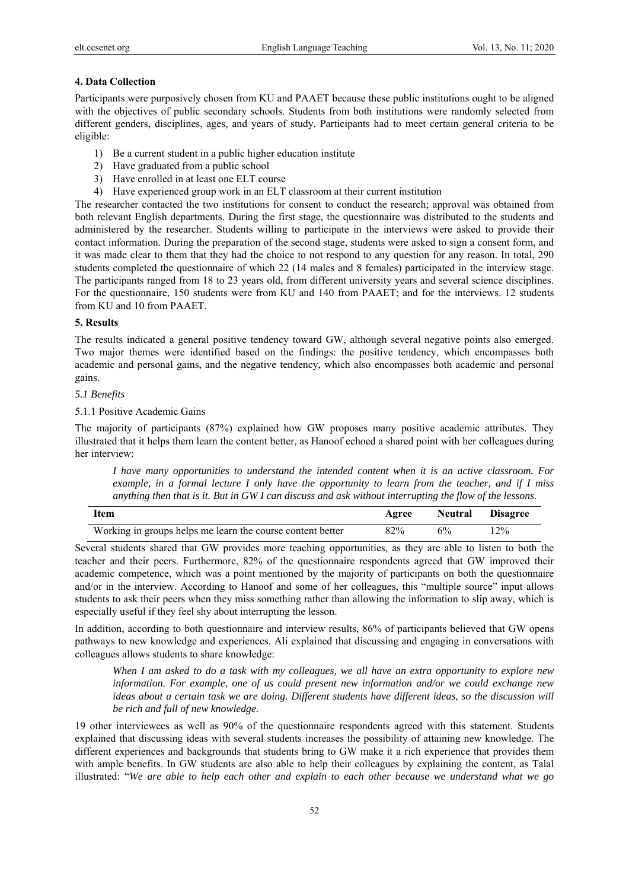### **4. Data Collection**

Participants were purposively chosen from KU and PAAET because these public institutions ought to be aligned with the objectives of public secondary schools. Students from both institutions were randomly selected from different genders, disciplines, ages, and years of study. Participants had to meet certain general criteria to be eligible:

- 1) Be a current student in a public higher education institute
- 2) Have graduated from a public school
- 3) Have enrolled in at least one ELT course
- 4) Have experienced group work in an ELT classroom at their current institution

The researcher contacted the two institutions for consent to conduct the research; approval was obtained from both relevant English departments. During the first stage, the questionnaire was distributed to the students and administered by the researcher. Students willing to participate in the interviews were asked to provide their contact information. During the preparation of the second stage, students were asked to sign a consent form, and it was made clear to them that they had the choice to not respond to any question for any reason. In total, 290 students completed the questionnaire of which 22 (14 males and 8 females) participated in the interview stage. The participants ranged from 18 to 23 years old, from different university years and several science disciplines. For the questionnaire, 150 students were from KU and 140 from PAAET; and for the interviews. 12 students from KU and 10 from PAAET.

#### **5. Results**

The results indicated a general positive tendency toward GW, although several negative points also emerged. Two major themes were identified based on the findings: the positive tendency, which encompasses both academic and personal gains, and the negative tendency, which also encompasses both academic and personal gains.

#### *5.1 Benefits*

#### 5.1.1 Positive Academic Gains

The majority of participants (87%) explained how GW proposes many positive academic attributes. They illustrated that it helps them learn the content better, as Hanoof echoed a shared point with her colleagues during her interview:

*I have many opportunities to understand the intended content when it is an active classroom. For example, in a formal lecture I only have the opportunity to learn from the teacher, and if I miss anything then that is it. But in GW I can discuss and ask without interrupting the flow of the lessons.* 

| <b>Item</b>                                                | Agree | <b>Neutral</b> | <b>Disagree</b> |
|------------------------------------------------------------|-------|----------------|-----------------|
| Working in groups helps me learn the course content better | 82%   | 6%             | $2\%$           |

Several students shared that GW provides more teaching opportunities, as they are able to listen to both the teacher and their peers. Furthermore, 82% of the questionnaire respondents agreed that GW improved their academic competence, which was a point mentioned by the majority of participants on both the questionnaire and/or in the interview. According to Hanoof and some of her colleagues, this "multiple source" input allows students to ask their peers when they miss something rather than allowing the information to slip away, which is especially useful if they feel shy about interrupting the lesson.

In addition, according to both questionnaire and interview results, 86% of participants believed that GW opens pathways to new knowledge and experiences. Ali explained that discussing and engaging in conversations with colleagues allows students to share knowledge:

*When I am asked to do a task with my colleagues, we all have an extra opportunity to explore new information. For example, one of us could present new information and/or we could exchange new ideas about a certain task we are doing. Different students have different ideas, so the discussion will be rich and full of new knowledge.* 

19 other interviewees as well as 90% of the questionnaire respondents agreed with this statement. Students explained that discussing ideas with several students increases the possibility of attaining new knowledge. The different experiences and backgrounds that students bring to GW make it a rich experience that provides them with ample benefits. In GW students are also able to help their colleagues by explaining the content, as Talal illustrated: "*We are able to help each other and explain to each other because we understand what we go*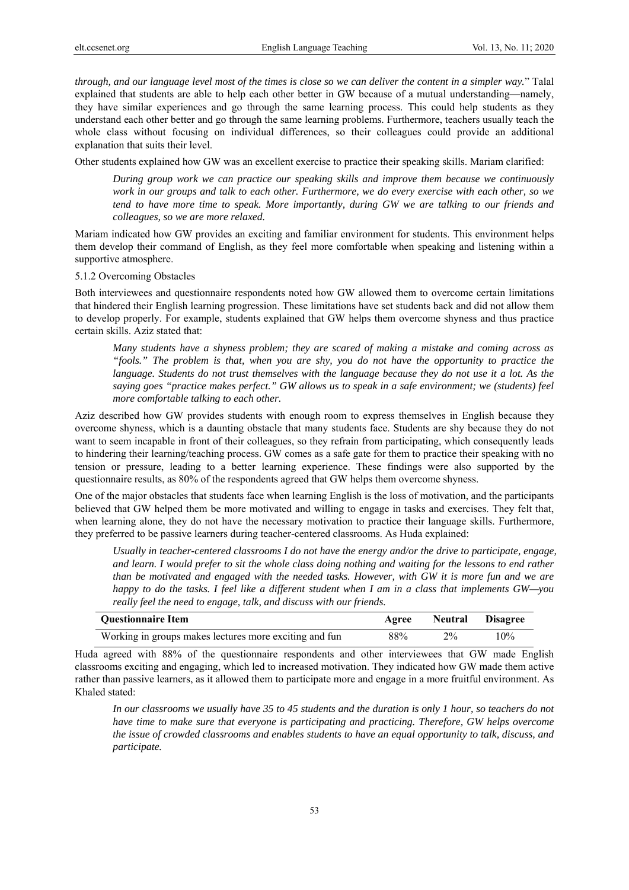*through, and our language level most of the times is close so we can deliver the content in a simpler way.*" Talal explained that students are able to help each other better in GW because of a mutual understanding—namely, they have similar experiences and go through the same learning process. This could help students as they understand each other better and go through the same learning problems. Furthermore, teachers usually teach the whole class without focusing on individual differences, so their colleagues could provide an additional explanation that suits their level.

Other students explained how GW was an excellent exercise to practice their speaking skills. Mariam clarified:

*During group work we can practice our speaking skills and improve them because we continuously work in our groups and talk to each other. Furthermore, we do every exercise with each other, so we tend to have more time to speak. More importantly, during GW we are talking to our friends and colleagues, so we are more relaxed.* 

Mariam indicated how GW provides an exciting and familiar environment for students. This environment helps them develop their command of English, as they feel more comfortable when speaking and listening within a supportive atmosphere.

#### 5.1.2 Overcoming Obstacles

Both interviewees and questionnaire respondents noted how GW allowed them to overcome certain limitations that hindered their English learning progression. These limitations have set students back and did not allow them to develop properly. For example, students explained that GW helps them overcome shyness and thus practice certain skills. Aziz stated that:

*Many students have a shyness problem; they are scared of making a mistake and coming across as "fools." The problem is that, when you are shy, you do not have the opportunity to practice the language. Students do not trust themselves with the language because they do not use it a lot. As the saying goes "practice makes perfect." GW allows us to speak in a safe environment; we (students) feel more comfortable talking to each other.* 

Aziz described how GW provides students with enough room to express themselves in English because they overcome shyness, which is a daunting obstacle that many students face. Students are shy because they do not want to seem incapable in front of their colleagues, so they refrain from participating, which consequently leads to hindering their learning/teaching process. GW comes as a safe gate for them to practice their speaking with no tension or pressure, leading to a better learning experience. These findings were also supported by the questionnaire results, as 80% of the respondents agreed that GW helps them overcome shyness.

One of the major obstacles that students face when learning English is the loss of motivation, and the participants believed that GW helped them be more motivated and willing to engage in tasks and exercises. They felt that, when learning alone, they do not have the necessary motivation to practice their language skills. Furthermore, they preferred to be passive learners during teacher-centered classrooms. As Huda explained:

*Usually in teacher-centered classrooms I do not have the energy and/or the drive to participate, engage, and learn. I would prefer to sit the whole class doing nothing and waiting for the lessons to end rather than be motivated and engaged with the needed tasks. However, with GW it is more fun and we are happy to do the tasks. I feel like a different student when I am in a class that implements GW—you really feel the need to engage, talk, and discuss with our friends.* 

| <b>Ouestionnaire Item</b>                              | Agree |       | <b>Neutral Disagree</b> |
|--------------------------------------------------------|-------|-------|-------------------------|
| Working in groups makes lectures more exciting and fun | 88%   | $2\%$ | 10%                     |

Huda agreed with 88% of the questionnaire respondents and other interviewees that GW made English classrooms exciting and engaging, which led to increased motivation. They indicated how GW made them active rather than passive learners, as it allowed them to participate more and engage in a more fruitful environment. As Khaled stated:

*In our classrooms we usually have 35 to 45 students and the duration is only 1 hour, so teachers do not have time to make sure that everyone is participating and practicing. Therefore, GW helps overcome the issue of crowded classrooms and enables students to have an equal opportunity to talk, discuss, and participate.*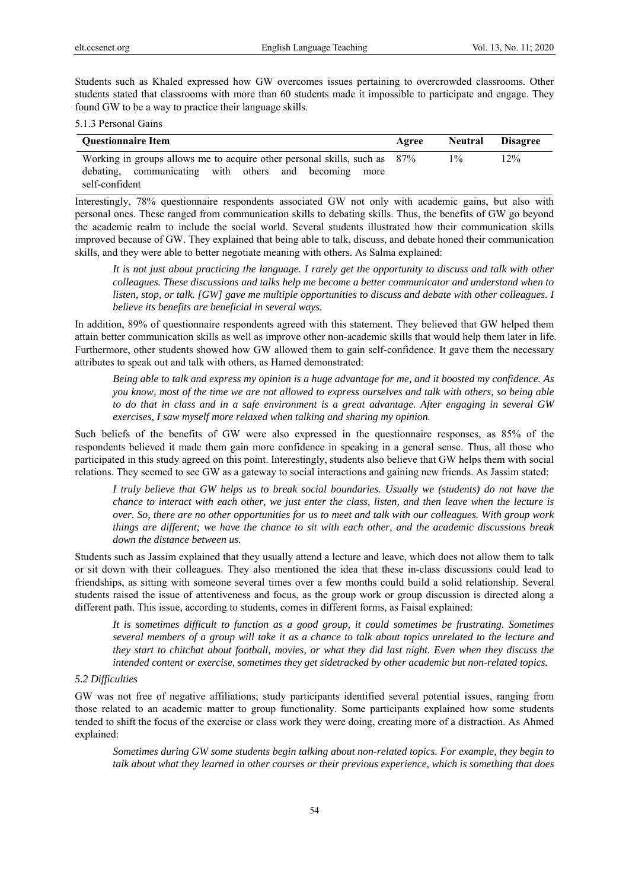Students such as Khaled expressed how GW overcomes issues pertaining to overcrowded classrooms. Other students stated that classrooms with more than 60 students made it impossible to participate and engage. They found GW to be a way to practice their language skills.

#### 5.1.3 Personal Gains

| <b>Ouestionnaire Item</b>                                                 | Agree | <b>Neutral Disagree</b> |        |
|---------------------------------------------------------------------------|-------|-------------------------|--------|
| Working in groups allows me to acquire other personal skills, such as 87% |       | $1\%$                   | $12\%$ |
| debating, communicating with others and becoming more                     |       |                         |        |
| self-confident                                                            |       |                         |        |

Interestingly, 78% questionnaire respondents associated GW not only with academic gains, but also with personal ones. These ranged from communication skills to debating skills. Thus, the benefits of GW go beyond the academic realm to include the social world. Several students illustrated how their communication skills improved because of GW. They explained that being able to talk, discuss, and debate honed their communication skills, and they were able to better negotiate meaning with others. As Salma explained:

*It is not just about practicing the language. I rarely get the opportunity to discuss and talk with other colleagues. These discussions and talks help me become a better communicator and understand when to listen, stop, or talk. [GW] gave me multiple opportunities to discuss and debate with other colleagues. I believe its benefits are beneficial in several ways.* 

In addition, 89% of questionnaire respondents agreed with this statement. They believed that GW helped them attain better communication skills as well as improve other non-academic skills that would help them later in life. Furthermore, other students showed how GW allowed them to gain self-confidence. It gave them the necessary attributes to speak out and talk with others, as Hamed demonstrated:

*Being able to talk and express my opinion is a huge advantage for me, and it boosted my confidence. As you know, most of the time we are not allowed to express ourselves and talk with others, so being able to do that in class and in a safe environment is a great advantage. After engaging in several GW exercises, I saw myself more relaxed when talking and sharing my opinion.* 

Such beliefs of the benefits of GW were also expressed in the questionnaire responses, as 85% of the respondents believed it made them gain more confidence in speaking in a general sense. Thus, all those who participated in this study agreed on this point. Interestingly, students also believe that GW helps them with social relations. They seemed to see GW as a gateway to social interactions and gaining new friends. As Jassim stated:

*I truly believe that GW helps us to break social boundaries. Usually we (students) do not have the chance to interact with each other, we just enter the class, listen, and then leave when the lecture is over. So, there are no other opportunities for us to meet and talk with our colleagues. With group work things are different; we have the chance to sit with each other, and the academic discussions break down the distance between us.* 

Students such as Jassim explained that they usually attend a lecture and leave, which does not allow them to talk or sit down with their colleagues. They also mentioned the idea that these in-class discussions could lead to friendships, as sitting with someone several times over a few months could build a solid relationship. Several students raised the issue of attentiveness and focus, as the group work or group discussion is directed along a different path. This issue, according to students, comes in different forms, as Faisal explained:

*It is sometimes difficult to function as a good group, it could sometimes be frustrating. Sometimes several members of a group will take it as a chance to talk about topics unrelated to the lecture and they start to chitchat about football, movies, or what they did last night. Even when they discuss the intended content or exercise, sometimes they get sidetracked by other academic but non-related topics.* 

#### *5.2 Difficulties*

GW was not free of negative affiliations; study participants identified several potential issues, ranging from those related to an academic matter to group functionality. Some participants explained how some students tended to shift the focus of the exercise or class work they were doing, creating more of a distraction. As Ahmed explained:

*Sometimes during GW some students begin talking about non-related topics. For example, they begin to talk about what they learned in other courses or their previous experience, which is something that does*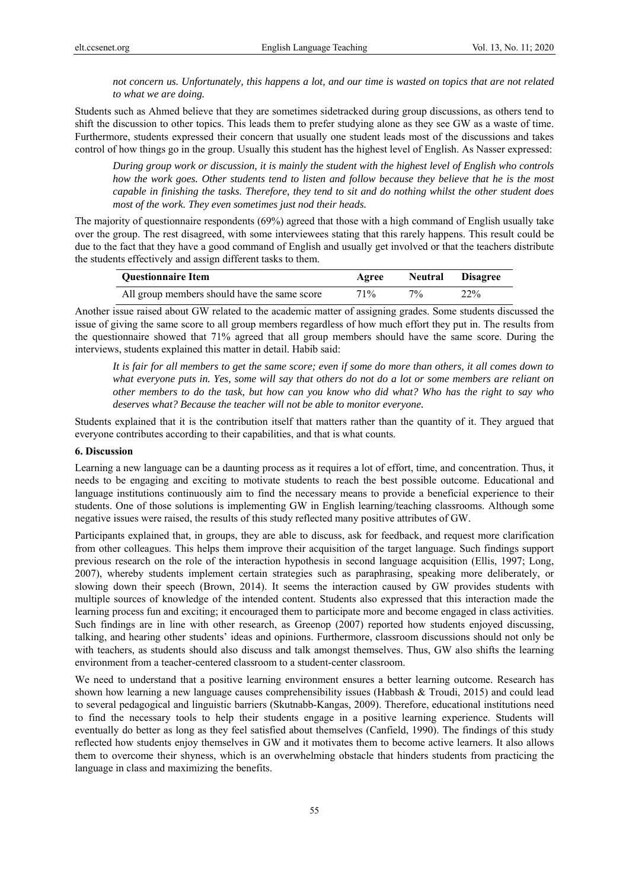*not concern us. Unfortunately, this happens a lot, and our time is wasted on topics that are not related to what we are doing.* 

Students such as Ahmed believe that they are sometimes sidetracked during group discussions, as others tend to shift the discussion to other topics. This leads them to prefer studying alone as they see GW as a waste of time. Furthermore, students expressed their concern that usually one student leads most of the discussions and takes control of how things go in the group. Usually this student has the highest level of English. As Nasser expressed:

*During group work or discussion, it is mainly the student with the highest level of English who controls how the work goes. Other students tend to listen and follow because they believe that he is the most capable in finishing the tasks. Therefore, they tend to sit and do nothing whilst the other student does most of the work. They even sometimes just nod their heads.* 

The majority of questionnaire respondents (69%) agreed that those with a high command of English usually take over the group. The rest disagreed, with some interviewees stating that this rarely happens. This result could be due to the fact that they have a good command of English and usually get involved or that the teachers distribute the students effectively and assign different tasks to them.

| <b>Ouestionnaire Item</b>                    | Agree  | Neutral | <b>Disagree</b> |
|----------------------------------------------|--------|---------|-----------------|
| All group members should have the same score | $71\%$ | 70/6    | 22%             |

Another issue raised about GW related to the academic matter of assigning grades. Some students discussed the issue of giving the same score to all group members regardless of how much effort they put in. The results from the questionnaire showed that 71% agreed that all group members should have the same score. During the interviews, students explained this matter in detail. Habib said:

*It is fair for all members to get the same score; even if some do more than others, it all comes down to what everyone puts in. Yes, some will say that others do not do a lot or some members are reliant on other members to do the task, but how can you know who did what? Who has the right to say who deserves what? Because the teacher will not be able to monitor everyone.* 

Students explained that it is the contribution itself that matters rather than the quantity of it. They argued that everyone contributes according to their capabilities, and that is what counts.

## **6. Discussion**

Learning a new language can be a daunting process as it requires a lot of effort, time, and concentration. Thus, it needs to be engaging and exciting to motivate students to reach the best possible outcome. Educational and language institutions continuously aim to find the necessary means to provide a beneficial experience to their students. One of those solutions is implementing GW in English learning/teaching classrooms. Although some negative issues were raised, the results of this study reflected many positive attributes of GW.

Participants explained that, in groups, they are able to discuss, ask for feedback, and request more clarification from other colleagues. This helps them improve their acquisition of the target language. Such findings support previous research on the role of the interaction hypothesis in second language acquisition (Ellis, 1997; Long, 2007), whereby students implement certain strategies such as paraphrasing, speaking more deliberately, or slowing down their speech (Brown, 2014). It seems the interaction caused by GW provides students with multiple sources of knowledge of the intended content. Students also expressed that this interaction made the learning process fun and exciting; it encouraged them to participate more and become engaged in class activities. Such findings are in line with other research, as Greenop (2007) reported how students enjoyed discussing, talking, and hearing other students' ideas and opinions. Furthermore, classroom discussions should not only be with teachers, as students should also discuss and talk amongst themselves. Thus, GW also shifts the learning environment from a teacher-centered classroom to a student-center classroom.

We need to understand that a positive learning environment ensures a better learning outcome. Research has shown how learning a new language causes comprehensibility issues (Habbash & Troudi, 2015) and could lead to several pedagogical and linguistic barriers (Skutnabb-Kangas, 2009). Therefore, educational institutions need to find the necessary tools to help their students engage in a positive learning experience. Students will eventually do better as long as they feel satisfied about themselves (Canfield, 1990). The findings of this study reflected how students enjoy themselves in GW and it motivates them to become active learners. It also allows them to overcome their shyness, which is an overwhelming obstacle that hinders students from practicing the language in class and maximizing the benefits.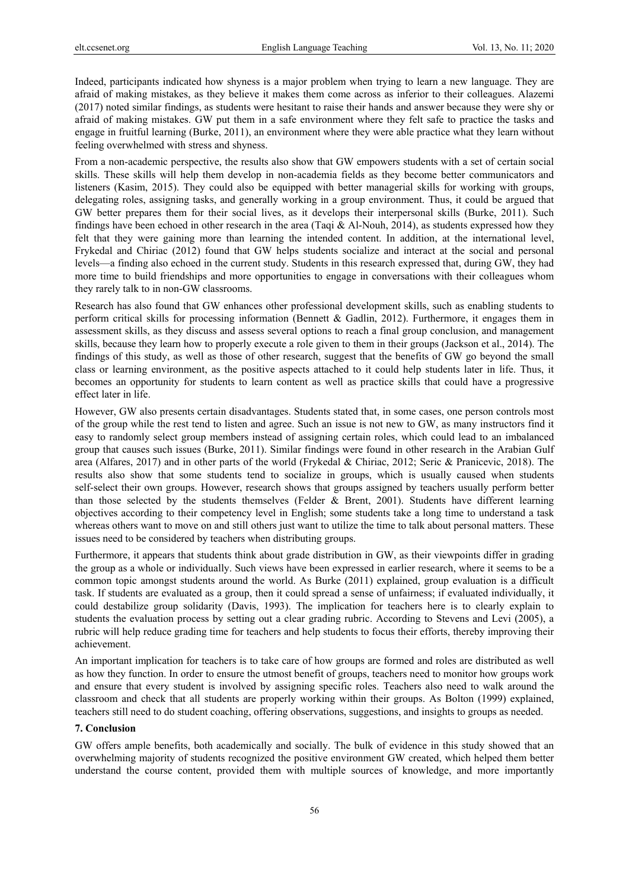Indeed, participants indicated how shyness is a major problem when trying to learn a new language. They are afraid of making mistakes, as they believe it makes them come across as inferior to their colleagues. Alazemi (2017) noted similar findings, as students were hesitant to raise their hands and answer because they were shy or afraid of making mistakes. GW put them in a safe environment where they felt safe to practice the tasks and engage in fruitful learning (Burke, 2011), an environment where they were able practice what they learn without feeling overwhelmed with stress and shyness.

From a non-academic perspective, the results also show that GW empowers students with a set of certain social skills. These skills will help them develop in non-academia fields as they become better communicators and listeners (Kasim, 2015). They could also be equipped with better managerial skills for working with groups, delegating roles, assigning tasks, and generally working in a group environment. Thus, it could be argued that GW better prepares them for their social lives, as it develops their interpersonal skills (Burke, 2011). Such findings have been echoed in other research in the area (Taqi & Al-Nouh, 2014), as students expressed how they felt that they were gaining more than learning the intended content. In addition, at the international level, Frykedal and Chiriac (2012) found that GW helps students socialize and interact at the social and personal levels—a finding also echoed in the current study. Students in this research expressed that, during GW, they had more time to build friendships and more opportunities to engage in conversations with their colleagues whom they rarely talk to in non-GW classrooms.

Research has also found that GW enhances other professional development skills, such as enabling students to perform critical skills for processing information (Bennett & Gadlin, 2012). Furthermore, it engages them in assessment skills, as they discuss and assess several options to reach a final group conclusion, and management skills, because they learn how to properly execute a role given to them in their groups (Jackson et al., 2014). The findings of this study, as well as those of other research, suggest that the benefits of GW go beyond the small class or learning environment, as the positive aspects attached to it could help students later in life. Thus, it becomes an opportunity for students to learn content as well as practice skills that could have a progressive effect later in life.

However, GW also presents certain disadvantages. Students stated that, in some cases, one person controls most of the group while the rest tend to listen and agree. Such an issue is not new to GW, as many instructors find it easy to randomly select group members instead of assigning certain roles, which could lead to an imbalanced group that causes such issues (Burke, 2011). Similar findings were found in other research in the Arabian Gulf area (Alfares, 2017) and in other parts of the world (Frykedal & Chiriac, 2012; Seric & Pranicevic, 2018). The results also show that some students tend to socialize in groups, which is usually caused when students self-select their own groups. However, research shows that groups assigned by teachers usually perform better than those selected by the students themselves (Felder & Brent, 2001). Students have different learning objectives according to their competency level in English; some students take a long time to understand a task whereas others want to move on and still others just want to utilize the time to talk about personal matters. These issues need to be considered by teachers when distributing groups.

Furthermore, it appears that students think about grade distribution in GW, as their viewpoints differ in grading the group as a whole or individually. Such views have been expressed in earlier research, where it seems to be a common topic amongst students around the world. As Burke (2011) explained, group evaluation is a difficult task. If students are evaluated as a group, then it could spread a sense of unfairness; if evaluated individually, it could destabilize group solidarity (Davis, 1993). The implication for teachers here is to clearly explain to students the evaluation process by setting out a clear grading rubric. According to Stevens and Levi (2005), a rubric will help reduce grading time for teachers and help students to focus their efforts, thereby improving their achievement.

An important implication for teachers is to take care of how groups are formed and roles are distributed as well as how they function. In order to ensure the utmost benefit of groups, teachers need to monitor how groups work and ensure that every student is involved by assigning specific roles. Teachers also need to walk around the classroom and check that all students are properly working within their groups. As Bolton (1999) explained, teachers still need to do student coaching, offering observations, suggestions, and insights to groups as needed.

#### **7. Conclusion**

GW offers ample benefits, both academically and socially. The bulk of evidence in this study showed that an overwhelming majority of students recognized the positive environment GW created, which helped them better understand the course content, provided them with multiple sources of knowledge, and more importantly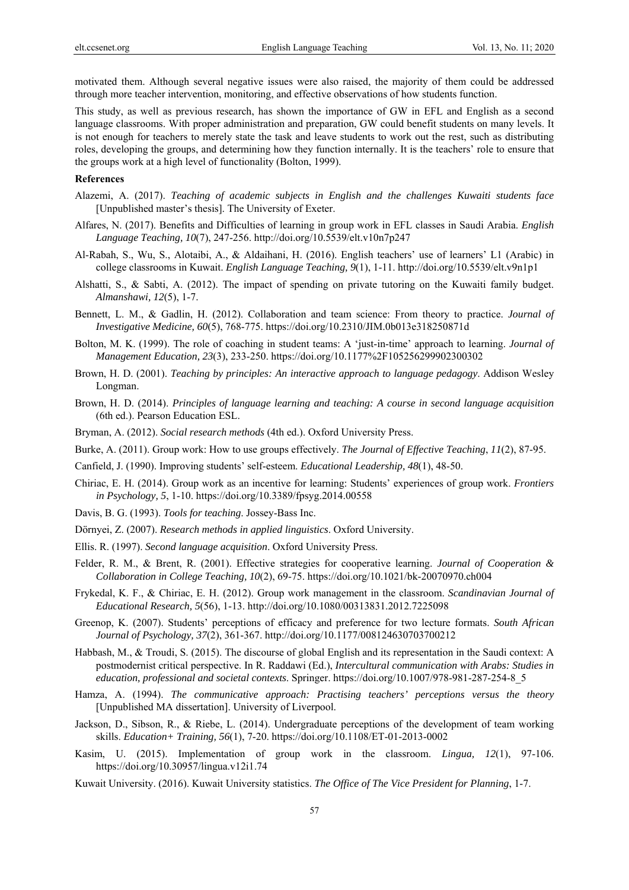motivated them. Although several negative issues were also raised, the majority of them could be addressed through more teacher intervention, monitoring, and effective observations of how students function.

This study, as well as previous research, has shown the importance of GW in EFL and English as a second language classrooms. With proper administration and preparation, GW could benefit students on many levels. It is not enough for teachers to merely state the task and leave students to work out the rest, such as distributing roles, developing the groups, and determining how they function internally. It is the teachers' role to ensure that the groups work at a high level of functionality (Bolton, 1999).

#### **References**

- Alazemi, A. (2017). *Teaching of academic subjects in English and the challenges Kuwaiti students face*  [Unpublished master's thesis]. The University of Exeter.
- Alfares, N. (2017). Benefits and Difficulties of learning in group work in EFL classes in Saudi Arabia. *English Language Teaching, 10*(7), 247-256. http://doi.org/10.5539/elt.v10n7p247
- Al-Rabah, S., Wu, S., Alotaibi, A., & Aldaihani, H. (2016). English teachers' use of learners' L1 (Arabic) in college classrooms in Kuwait. *English Language Teaching, 9*(1), 1-11. http://doi.org/10.5539/elt.v9n1p1
- Alshatti, S., & Sabti, A. (2012). The impact of spending on private tutoring on the Kuwaiti family budget. *Almanshawi, 12*(5), 1-7.
- Bennett, L. M., & Gadlin, H. (2012). Collaboration and team science: From theory to practice. *Journal of Investigative Medicine, 60*(5), 768-775. https://doi.org/10.2310/JIM.0b013e318250871d
- Bolton, M. K. (1999). The role of coaching in student teams: A 'just-in-time' approach to learning. *Journal of Management Education, 23*(3), 233-250. https://doi.org/10.1177%2F105256299902300302
- Brown, H. D. (2001). *Teaching by principles: An interactive approach to language pedagogy*. Addison Wesley Longman.
- Brown, H. D. (2014). *Principles of language learning and teaching: A course in second language acquisition*  (6th ed.). Pearson Education ESL.
- Bryman, A. (2012). *Social research methods* (4th ed.). Oxford University Press.
- Burke, A. (2011). Group work: How to use groups effectively. *The Journal of Effective Teaching*, *11*(2), 87-95.
- Canfield, J. (1990). Improving students' self-esteem. *Educational Leadership, 48*(1), 48-50.
- Chiriac, E. H. (2014). Group work as an incentive for learning: Students' experiences of group work. *Frontiers in Psychology, 5*, 1-10. https://doi.org/10.3389/fpsyg.2014.00558
- Davis, B. G. (1993). *Tools for teaching*. Jossey-Bass Inc.
- Dörnyei, Z. (2007). *Research methods in applied linguistics*. Oxford University.
- Ellis. R. (1997). *Second language acquisition*. Oxford University Press.
- Felder, R. M., & Brent, R. (2001). Effective strategies for cooperative learning. *Journal of Cooperation & Collaboration in College Teaching, 10*(2), 69-75. https://doi.org/10.1021/bk-20070970.ch004
- Frykedal, K. F., & Chiriac, E. H. (2012). Group work management in the classroom. *Scandinavian Journal of Educational Research, 5*(56), 1-13. http://doi.org/10.1080/00313831.2012.7225098
- Greenop, K. (2007). Students' perceptions of efficacy and preference for two lecture formats. *South African Journal of Psychology, 37*(2), 361-367. http://doi.org/10.1177/008124630703700212
- Habbash, M., & Troudi, S. (2015). The discourse of global English and its representation in the Saudi context: A postmodernist critical perspective. In R. Raddawi (Ed.), *Intercultural communication with Arabs: Studies in education, professional and societal contexts*. Springer. https://doi.org/10.1007/978-981-287-254-8\_5
- Hamza, A. (1994). *The communicative approach: Practising teachers' perceptions versus the theory*  [Unpublished MA dissertation]. University of Liverpool.
- Jackson, D., Sibson, R., & Riebe, L. (2014). Undergraduate perceptions of the development of team working skills. *Education+ Training, 56*(1), 7-20. https://doi.org/10.1108/ET-01-2013-0002
- Kasim, U. (2015). Implementation of group work in the classroom. *Lingua, 12*(1), 97-106. https://doi.org/10.30957/lingua.v12i1.74
- Kuwait University. (2016). Kuwait University statistics. *The Office of The Vice President for Planning*, 1-7.